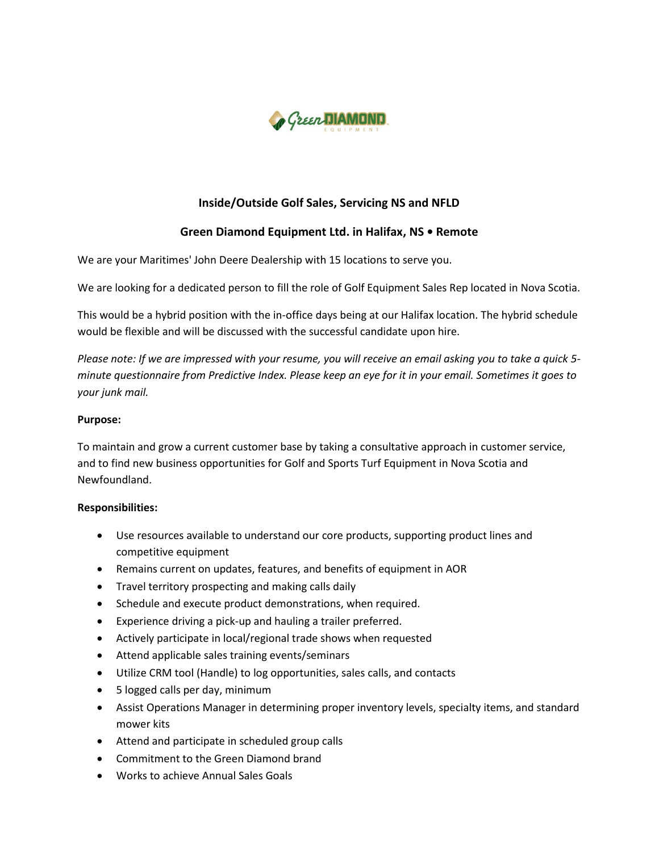

# **Inside/Outside Golf Sales, Servicing NS and NFLD**

## **Green Diamond Equipment Ltd. in Halifax, NS • Remote**

We are your Maritimes' John Deere Dealership with 15 locations to serve you.

We are looking for a dedicated person to fill the role of Golf Equipment Sales Rep located in Nova Scotia.

This would be a hybrid position with the in-office days being at our Halifax location. The hybrid schedule would be flexible and will be discussed with the successful candidate upon hire.

*Please note: If we are impressed with your resume, you will receive an email asking you to take a quick 5 minute questionnaire from Predictive Index. Please keep an eye for it in your email. Sometimes it goes to your junk mail.*

#### **Purpose:**

To maintain and grow a current customer base by taking a consultative approach in customer service, and to find new business opportunities for Golf and Sports Turf Equipment in Nova Scotia and Newfoundland.

#### **Responsibilities:**

- Use resources available to understand our core products, supporting product lines and competitive equipment
- Remains current on updates, features, and benefits of equipment in AOR
- Travel territory prospecting and making calls daily
- Schedule and execute product demonstrations, when required.
- Experience driving a pick-up and hauling a trailer preferred.
- Actively participate in local/regional trade shows when requested
- Attend applicable sales training events/seminars
- Utilize CRM tool (Handle) to log opportunities, sales calls, and contacts
- 5 logged calls per day, minimum
- Assist Operations Manager in determining proper inventory levels, specialty items, and standard mower kits
- Attend and participate in scheduled group calls
- Commitment to the Green Diamond brand
- Works to achieve Annual Sales Goals